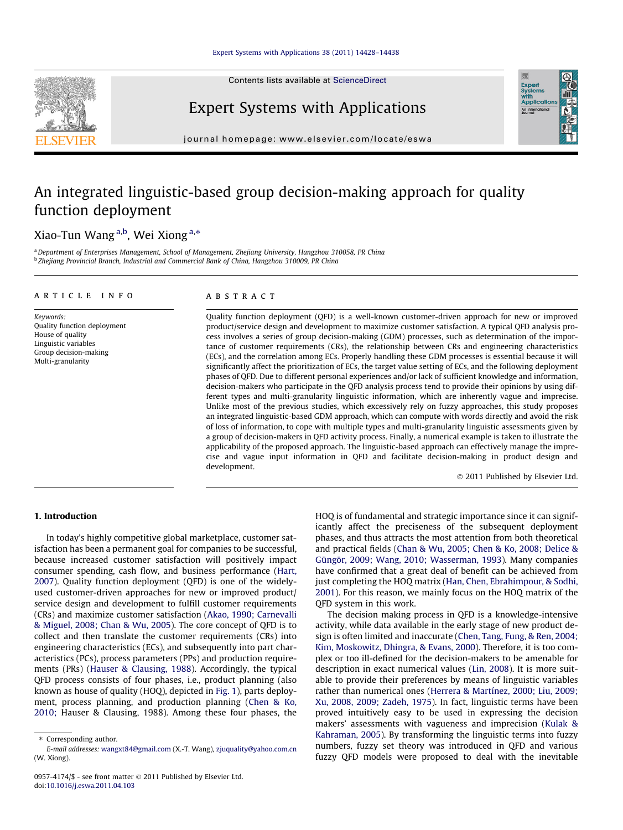Contents lists available at [ScienceDirect](http://www.sciencedirect.com/science/journal/09574174)



# Expert Systems with Applications

journal homepage: [www.elsevier.com/locate/eswa](http://www.elsevier.com/locate/eswa)

# An integrated linguistic-based group decision-making approach for quality function deployment

### Xiao-Tun Wang <sup>a,b</sup>, Wei Xiong <sup>a,</sup>\*

a Department of Enterprises Management, School of Management, Zhejiang University, Hangzhou 310058, PR China <sup>b</sup> Zhejiang Provincial Branch, Industrial and Commercial Bank of China, Hangzhou 310009, PR China

#### article info

Keywords: Quality function deployment House of quality Linguistic variables Group decision-making Multi-granularity

#### ABSTRACT

Quality function deployment (QFD) is a well-known customer-driven approach for new or improved product/service design and development to maximize customer satisfaction. A typical QFD analysis process involves a series of group decision-making (GDM) processes, such as determination of the importance of customer requirements (CRs), the relationship between CRs and engineering characteristics (ECs), and the correlation among ECs. Properly handling these GDM processes is essential because it will significantly affect the prioritization of ECs, the target value setting of ECs, and the following deployment phases of QFD. Due to different personal experiences and/or lack of sufficient knowledge and information, decision-makers who participate in the QFD analysis process tend to provide their opinions by using different types and multi-granularity linguistic information, which are inherently vague and imprecise. Unlike most of the previous studies, which excessively rely on fuzzy approaches, this study proposes an integrated linguistic-based GDM approach, which can compute with words directly and avoid the risk of loss of information, to cope with multiple types and multi-granularity linguistic assessments given by a group of decision-makers in QFD activity process. Finally, a numerical example is taken to illustrate the applicability of the proposed approach. The linguistic-based approach can effectively manage the imprecise and vague input information in QFD and facilitate decision-making in product design and development.

© 2011 Published by Elsevier Ltd.

Expert<br>Syster

#### 1. Introduction

In today's highly competitive global marketplace, customer satisfaction has been a permanent goal for companies to be successful, because increased customer satisfaction will positively impact consumer spending, cash flow, and business performance [\(Hart,](#page--1-0) [2007\)](#page--1-0). Quality function deployment (QFD) is one of the widelyused customer-driven approaches for new or improved product/ service design and development to fulfill customer requirements (CRs) and maximize customer satisfaction [\(Akao, 1990; Carnevalli](#page--1-0) [& Miguel, 2008; Chan & Wu, 2005](#page--1-0)). The core concept of QFD is to collect and then translate the customer requirements (CRs) into engineering characteristics (ECs), and subsequently into part characteristics (PCs), process parameters (PPs) and production requirements (PRs) [\(Hauser & Clausing, 1988\)](#page--1-0). Accordingly, the typical QFD process consists of four phases, i.e., product planning (also known as house of quality (HOQ), depicted in [Fig. 1](#page-1-0)), parts deployment, process planning, and production planning ([Chen & Ko,](#page--1-0) [2010;](#page--1-0) Hauser & Clausing, 1988). Among these four phases, the

HOQ is of fundamental and strategic importance since it can significantly affect the preciseness of the subsequent deployment phases, and thus attracts the most attention from both theoretical and practical fields ([Chan & Wu, 2005; Chen & Ko, 2008; Delice &](#page--1-0) [Güngör, 2009; Wang, 2010; Wasserman, 1993\)](#page--1-0). Many companies have confirmed that a great deal of benefit can be achieved from just completing the HOQ matrix ([Han, Chen, Ebrahimpour, & Sodhi,](#page--1-0) [2001\)](#page--1-0). For this reason, we mainly focus on the HOQ matrix of the QFD system in this work.

The decision making process in QFD is a knowledge-intensive activity, while data available in the early stage of new product design is often limited and inaccurate [\(Chen, Tang, Fung, & Ren, 2004;](#page--1-0) [Kim, Moskowitz, Dhingra, & Evans, 2000\)](#page--1-0). Therefore, it is too complex or too ill-defined for the decision-makers to be amenable for description in exact numerical values ([Lin, 2008\)](#page--1-0). It is more suitable to provide their preferences by means of linguistic variables rather than numerical ones ([Herrera & Martínez, 2000; Liu, 2009;](#page--1-0) [Xu, 2008, 2009; Zadeh, 1975\)](#page--1-0). In fact, linguistic terms have been proved intuitively easy to be used in expressing the decision makers' assessments with vagueness and imprecision [\(Kulak &](#page--1-0) [Kahraman, 2005](#page--1-0)). By transforming the linguistic terms into fuzzy numbers, fuzzy set theory was introduced in QFD and various fuzzy QFD models were proposed to deal with the inevitable

<sup>⇑</sup> Corresponding author.

E-mail addresses: [wangxt84@gmail.com](mailto:wangxt84@gmail.com) (X.-T. Wang), [zjuquality@yahoo.com.cn](mailto:zjuquality@yahoo.com.cn) (W. Xiong).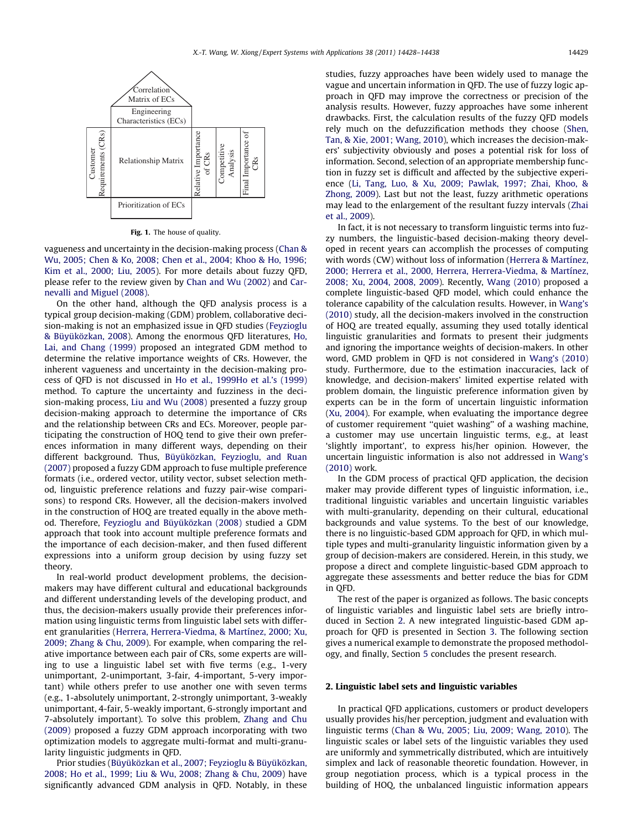<span id="page-1-0"></span>

Fig. 1. The house of quality.

vagueness and uncertainty in the decision-making process ([Chan &](#page--1-0) [Wu, 2005; Chen & Ko, 2008; Chen et al., 2004; Khoo & Ho, 1996;](#page--1-0) [Kim et al., 2000; Liu, 2005\)](#page--1-0). For more details about fuzzy QFD, please refer to the review given by [Chan and Wu \(2002\)](#page--1-0) and [Car](#page--1-0)[nevalli and Miguel \(2008\).](#page--1-0)

On the other hand, although the QFD analysis process is a typical group decision-making (GDM) problem, collaborative decision-making is not an emphasized issue in QFD studies ([Feyzioglu](#page--1-0) [& Büyüközkan, 2008](#page--1-0)). Among the enormous QFD literatures, [Ho,](#page--1-0) [Lai, and Chang \(1999\)](#page--1-0) proposed an integrated GDM method to determine the relative importance weights of CRs. However, the inherent vagueness and uncertainty in the decision-making process of QFD is not discussed in [Ho et al., 1999Ho et al.'s \(1999\)](#page--1-0) method. To capture the uncertainty and fuzziness in the decision-making process, [Liu and Wu \(2008\)](#page--1-0) presented a fuzzy group decision-making approach to determine the importance of CRs and the relationship between CRs and ECs. Moreover, people participating the construction of HOQ tend to give their own preferences information in many different ways, depending on their different background. Thus, [Büyüközkan, Feyzioglu, and Ruan](#page--1-0) [\(2007\)](#page--1-0) proposed a fuzzy GDM approach to fuse multiple preference formats (i.e., ordered vector, utility vector, subset selection method, linguistic preference relations and fuzzy pair-wise comparisons) to respond CRs. However, all the decision-makers involved in the construction of HOQ are treated equally in the above method. Therefore, [Feyzioglu and Büyüközkan \(2008\)](#page--1-0) studied a GDM approach that took into account multiple preference formats and the importance of each decision-maker, and then fused different expressions into a uniform group decision by using fuzzy set theory.

In real-world product development problems, the decisionmakers may have different cultural and educational backgrounds and different understanding levels of the developing product, and thus, the decision-makers usually provide their preferences information using linguistic terms from linguistic label sets with different granularities [\(Herrera, Herrera-Viedma, & Martínez, 2000; Xu,](#page--1-0) [2009; Zhang & Chu, 2009](#page--1-0)). For example, when comparing the relative importance between each pair of CRs, some experts are willing to use a linguistic label set with five terms (e.g., 1-very unimportant, 2-unimportant, 3-fair, 4-important, 5-very important) while others prefer to use another one with seven terms (e.g., 1-absolutely unimportant, 2-strongly unimportant, 3-weakly unimportant, 4-fair, 5-weakly important, 6-strongly important and 7-absolutely important). To solve this problem, [Zhang and Chu](#page--1-0) [\(2009\)](#page--1-0) proposed a fuzzy GDM approach incorporating with two optimization models to aggregate multi-format and multi-granularity linguistic judgments in QFD.

Prior studies [\(Büyüközkan et al., 2007; Feyzioglu & Büyüközkan,](#page--1-0) [2008; Ho et al., 1999; Liu & Wu, 2008; Zhang & Chu, 2009\)](#page--1-0) have significantly advanced GDM analysis in QFD. Notably, in these studies, fuzzy approaches have been widely used to manage the vague and uncertain information in QFD. The use of fuzzy logic approach in QFD may improve the correctness or precision of the analysis results. However, fuzzy approaches have some inherent drawbacks. First, the calculation results of the fuzzy QFD models rely much on the defuzzification methods they choose [\(Shen,](#page--1-0) [Tan, & Xie, 2001; Wang, 2010\)](#page--1-0), which increases the decision-makers' subjectivity obviously and poses a potential risk for loss of information. Second, selection of an appropriate membership function in fuzzy set is difficult and affected by the subjective experience ([Li, Tang, Luo, & Xu, 2009; Pawlak, 1997; Zhai, Khoo, &](#page--1-0) [Zhong, 2009](#page--1-0)). Last but not the least, fuzzy arithmetic operations may lead to the enlargement of the resultant fuzzy intervals [\(Zhai](#page--1-0) [et al., 2009\)](#page--1-0).

In fact, it is not necessary to transform linguistic terms into fuzzy numbers, the linguistic-based decision-making theory developed in recent years can accomplish the processes of computing with words (CW) without loss of information ([Herrera & Martínez,](#page--1-0) [2000; Herrera et al., 2000, Herrera, Herrera-Viedma, & Martínez,](#page--1-0) [2008; Xu, 2004, 2008, 2009\)](#page--1-0). Recently, [Wang \(2010\)](#page--1-0) proposed a complete linguistic-based QFD model, which could enhance the tolerance capability of the calculation results. However, in [Wang's](#page--1-0) [\(2010\)](#page--1-0) study, all the decision-makers involved in the construction of HOQ are treated equally, assuming they used totally identical linguistic granularities and formats to present their judgments and ignoring the importance weights of decision-makers. In other word, GMD problem in QFD is not considered in [Wang's \(2010\)](#page--1-0) study. Furthermore, due to the estimation inaccuracies, lack of knowledge, and decision-makers' limited expertise related with problem domain, the linguistic preference information given by experts can be in the form of uncertain linguistic information ([Xu, 2004\)](#page--1-0). For example, when evaluating the importance degree of customer requirement ''quiet washing'' of a washing machine, a customer may use uncertain linguistic terms, e.g., at least 'slightly important', to express his/her opinion. However, the uncertain linguistic information is also not addressed in [Wang's](#page--1-0) [\(2010\)](#page--1-0) work.

In the GDM process of practical QFD application, the decision maker may provide different types of linguistic information, i.e., traditional linguistic variables and uncertain linguistic variables with multi-granularity, depending on their cultural, educational backgrounds and value systems. To the best of our knowledge, there is no linguistic-based GDM approach for QFD, in which multiple types and multi-granularity linguistic information given by a group of decision-makers are considered. Herein, in this study, we propose a direct and complete linguistic-based GDM approach to aggregate these assessments and better reduce the bias for GDM in QFD.

The rest of the paper is organized as follows. The basic concepts of linguistic variables and linguistic label sets are briefly introduced in Section 2. A new integrated linguistic-based GDM approach for QFD is presented in Section [3](#page--1-0). The following section gives a numerical example to demonstrate the proposed methodology, and finally, Section [5](#page--1-0) concludes the present research.

#### 2. Linguistic label sets and linguistic variables

In practical QFD applications, customers or product developers usually provides his/her perception, judgment and evaluation with linguistic terms ([Chan & Wu, 2005; Liu, 2009; Wang, 2010\)](#page--1-0). The linguistic scales or label sets of the linguistic variables they used are uniformly and symmetrically distributed, which are intuitively simplex and lack of reasonable theoretic foundation. However, in group negotiation process, which is a typical process in the building of HOQ, the unbalanced linguistic information appears